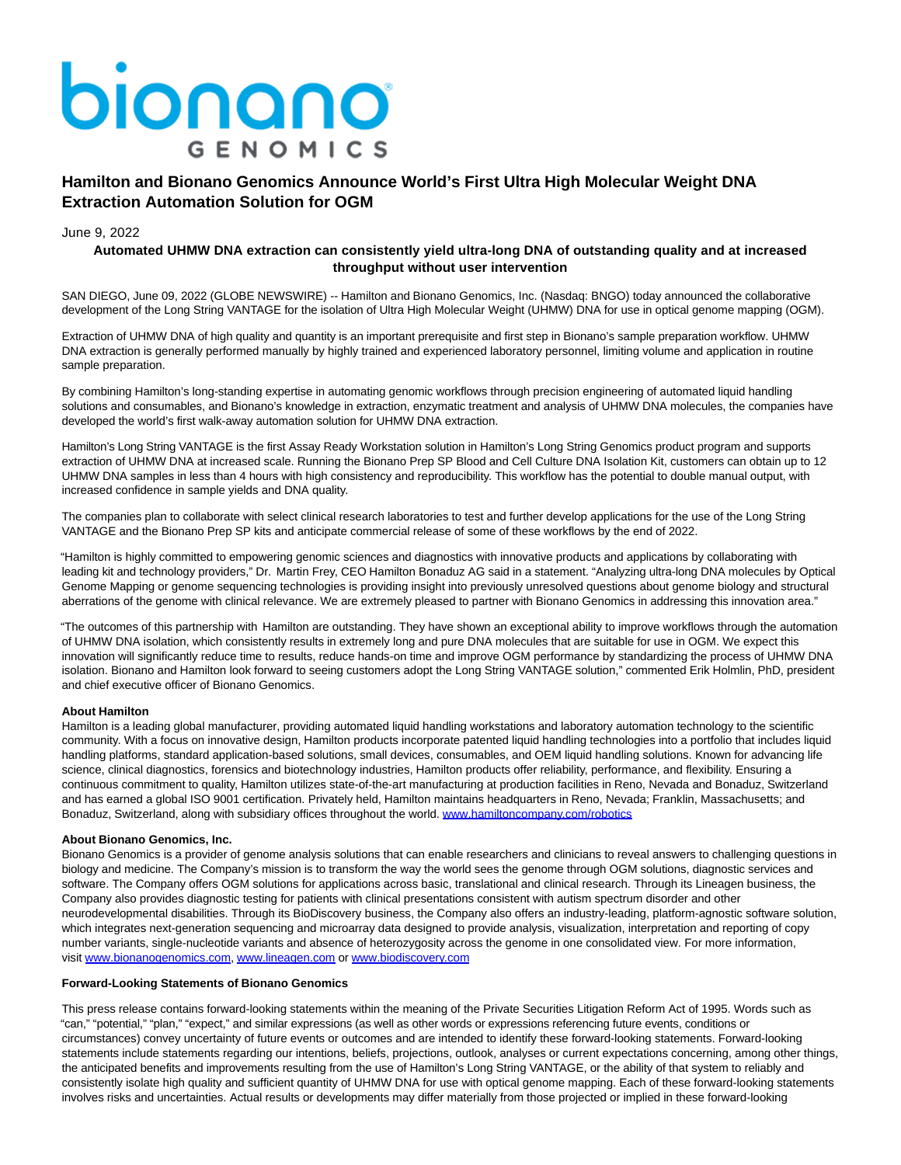# bionano **GENOMICS**

## **Hamilton and Bionano Genomics Announce World's First Ultra High Molecular Weight DNA Extraction Automation Solution for OGM**

#### June 9, 2022

### **Automated UHMW DNA extraction can consistently yield ultra-long DNA of outstanding quality and at increased throughput without user intervention**

SAN DIEGO, June 09, 2022 (GLOBE NEWSWIRE) -- Hamilton and Bionano Genomics, Inc. (Nasdaq: BNGO) today announced the collaborative development of the Long String VANTAGE for the isolation of Ultra High Molecular Weight (UHMW) DNA for use in optical genome mapping (OGM).

Extraction of UHMW DNA of high quality and quantity is an important prerequisite and first step in Bionano's sample preparation workflow. UHMW DNA extraction is generally performed manually by highly trained and experienced laboratory personnel, limiting volume and application in routine sample preparation.

By combining Hamilton's long-standing expertise in automating genomic workflows through precision engineering of automated liquid handling solutions and consumables, and Bionano's knowledge in extraction, enzymatic treatment and analysis of UHMW DNA molecules, the companies have developed the world's first walk-away automation solution for UHMW DNA extraction.

Hamilton's Long String VANTAGE is the first Assay Ready Workstation solution in Hamilton's Long String Genomics product program and supports extraction of UHMW DNA at increased scale. Running the Bionano Prep SP Blood and Cell Culture DNA Isolation Kit, customers can obtain up to 12 UHMW DNA samples in less than 4 hours with high consistency and reproducibility. This workflow has the potential to double manual output, with increased confidence in sample yields and DNA quality.

The companies plan to collaborate with select clinical research laboratories to test and further develop applications for the use of the Long String VANTAGE and the Bionano Prep SP kits and anticipate commercial release of some of these workflows by the end of 2022.

"Hamilton is highly committed to empowering genomic sciences and diagnostics with innovative products and applications by collaborating with leading kit and technology providers," Dr. Martin Frey, CEO Hamilton Bonaduz AG said in a statement. "Analyzing ultra-long DNA molecules by Optical Genome Mapping or genome sequencing technologies is providing insight into previously unresolved questions about genome biology and structural aberrations of the genome with clinical relevance. We are extremely pleased to partner with Bionano Genomics in addressing this innovation area."

"The outcomes of this partnership with Hamilton are outstanding. They have shown an exceptional ability to improve workflows through the automation of UHMW DNA isolation, which consistently results in extremely long and pure DNA molecules that are suitable for use in OGM. We expect this innovation will significantly reduce time to results, reduce hands-on time and improve OGM performance by standardizing the process of UHMW DNA isolation. Bionano and Hamilton look forward to seeing customers adopt the Long String VANTAGE solution," commented Erik Holmlin, PhD, president and chief executive officer of Bionano Genomics.

#### **About Hamilton**

Hamilton is a leading global manufacturer, providing automated liquid handling workstations and laboratory automation technology to the scientific community. With a focus on innovative design, Hamilton products incorporate patented liquid handling technologies into a portfolio that includes liquid handling platforms, standard application-based solutions, small devices, consumables, and OEM liquid handling solutions. Known for advancing life science, clinical diagnostics, forensics and biotechnology industries, Hamilton products offer reliability, performance, and flexibility. Ensuring a continuous commitment to quality, Hamilton utilizes state-of-the-art manufacturing at production facilities in Reno, Nevada and Bonaduz, Switzerland and has earned a global ISO 9001 certification. Privately held, Hamilton maintains headquarters in Reno, Nevada; Franklin, Massachusetts; and Bonaduz, Switzerland, along with subsidiary offices throughout the world. [www.hamiltoncompany.com/robotics](https://www.globenewswire.com/Tracker?data=q_NhEkENffo625FxIPtihYif8LA6_kPGrkbJsrADZJmBIC4v7A8ftmkfJf_-bL2IBmhfGkjTLBThaYLeuoEmttby0sicrMGGzRlIISj9BGm3ijhRqv-8CHoyC-e3s3xI)

#### **About Bionano Genomics, Inc.**

Bionano Genomics is a provider of genome analysis solutions that can enable researchers and clinicians to reveal answers to challenging questions in biology and medicine. The Company's mission is to transform the way the world sees the genome through OGM solutions, diagnostic services and software. The Company offers OGM solutions for applications across basic, translational and clinical research. Through its Lineagen business, the Company also provides diagnostic testing for patients with clinical presentations consistent with autism spectrum disorder and other neurodevelopmental disabilities. Through its BioDiscovery business, the Company also offers an industry-leading, platform-agnostic software solution, which integrates next-generation sequencing and microarray data designed to provide analysis, visualization, interpretation and reporting of copy number variants, single-nucleotide variants and absence of heterozygosity across the genome in one consolidated view. For more information, visit [www.bionanogenomics.com,](https://www.globenewswire.com/Tracker?data=IPxg5lLGVYD9zyyWh6PdM5WFfy4hOSYRZsnV519QzRoxEhY9p7cMrDQ8yJJNoTAepRvIACQ90R-ZgaaFo8nSgB4Brea81ZjW9CRvab0uEosRSicowjbIoOT-58NT75Lolb9-09P6d3IK5DHTj3E6LX8WMtI0U6E1h34I44i2lhEdrqROcPwrued0DgthihDiAn67MUU3vh0CS7DBRLueixthkbsfWeMf0tfbCbMBnWhBYjjlAeQNbnrAC2Se_1jxfcf9Qb7T6e_GmjT3QepFug==) [www.lineagen.com o](https://www.globenewswire.com/Tracker?data=uu5jQQgzZ4dQCVd896qiVzw3fk-Fc_EPWUlyhw31Iyp8yxuSOHAUd1ZuQ8Hx-XjRwdqV4MeTat9cUoJqOzsj8FywV6D7MYQLsLHkN3UsTi4qCKh6bAwkx3wQboEEMIn3wLHg_7WmDmI6QB3s3Ozt7gMVVtDBJ23L9fa-c2r7d0HOML5dkviozva_8yRCc5GLMRuo2xdRKNJ7oIoVlTk_NQ0j969sPDlvAWhC5D9-JAUJa8dvS0PNVUZbwLUaWHpp)[r www.biodiscovery.com](https://www.globenewswire.com/Tracker?data=IPxg5lLGVYD9zyyWh6PdM98HfAaGd_k48YFl-zT9UICmFLT8UGwVypOF2Ws7UYIPNJuFEVjZ1X1JT9PP_kfSv8d0ZILuK63Eyc1NoG-09K8ek1GvdptkeE0-PQbVKbEaxANAZ8LJsBVEsgFU03IVbbrU0KmbFBup6Hgo6s6rN9DoqSKehdypp2vhDC2yTfJcFgb1RzeORE8Oa0YNFK9ZxC9D1BTZNY5mmJYjG_VrVVj3BIIsioJjMlFKT16ZBuiiAIqLkOm0lb_Yd0WlscHUAg==)

#### **Forward-Looking Statements of Bionano Genomics**

This press release contains forward-looking statements within the meaning of the Private Securities Litigation Reform Act of 1995. Words such as "can," "potential," "plan," "expect," and similar expressions (as well as other words or expressions referencing future events, conditions or circumstances) convey uncertainty of future events or outcomes and are intended to identify these forward-looking statements. Forward-looking statements include statements regarding our intentions, beliefs, projections, outlook, analyses or current expectations concerning, among other things, the anticipated benefits and improvements resulting from the use of Hamilton's Long String VANTAGE, or the ability of that system to reliably and consistently isolate high quality and sufficient quantity of UHMW DNA for use with optical genome mapping. Each of these forward-looking statements involves risks and uncertainties. Actual results or developments may differ materially from those projected or implied in these forward-looking